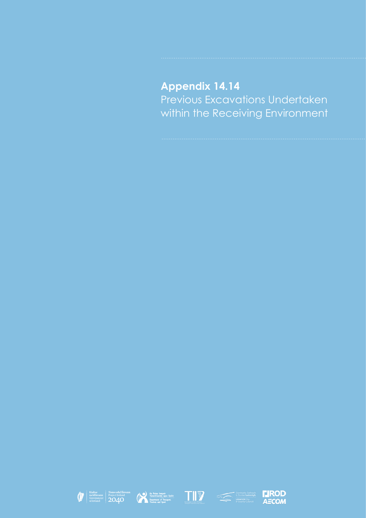## **Appendix 14.14** Previous Excavations Undertaken within the Receiving Environment









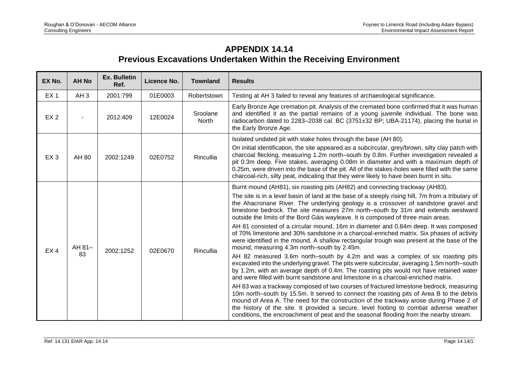## **APPENDIX 14.14 Previous Excavations Undertaken Within the Receiving Environment**

| EX No.          | <b>AH No</b>    | <b>Ex. Bulletin</b><br>Ref. | Licence No. | <b>Townland</b>   | <b>Results</b>                                                                                                                                                                                                                                                                                                                                                                                                                                                                                                                                     |
|-----------------|-----------------|-----------------------------|-------------|-------------------|----------------------------------------------------------------------------------------------------------------------------------------------------------------------------------------------------------------------------------------------------------------------------------------------------------------------------------------------------------------------------------------------------------------------------------------------------------------------------------------------------------------------------------------------------|
| EX <sub>1</sub> | AH <sub>3</sub> | 2001:799                    | 01E0003     | Robertstown       | Testing at AH 3 failed to reveal any features of archaeological significance.                                                                                                                                                                                                                                                                                                                                                                                                                                                                      |
| EX <sub>2</sub> |                 | 2012:409                    | 12E0024     | Sroolane<br>North | Early Bronze Age cremation pit. Analysis of the cremated bone confirmed that it was human<br>and identified it as the partial remains of a young juvenile individual. The bone was<br>radiocarbon dated to 2283-2038 cal. BC (3751±32 BP; UBA-21174), placing the burial in<br>the Early Bronze Age.                                                                                                                                                                                                                                               |
| EX <sub>3</sub> | AH 80           | 2002:1249                   | 02E0752     | Rincullia         | Isolated undated pit with stake holes through the base (AH 80).<br>On initial identification, the site appeared as a subcircular, grey/brown, silty clay patch with<br>charcoal flecking, measuring 1.2m north–south by 0.8m. Further investigation revealed a<br>pit 0.3m deep. Five stakes, averaging 0.08m in diameter and with a maximum depth of<br>0.25m, were driven into the base of the pit. All of the stakes-holes were filled with the same<br>charcoal-rich, silty peat, indicating that they were likely to have been burnt in situ. |
|                 | AH 81-<br>83    | 2002:1252                   | 02E0670     | Rincullia         | Burnt mound (AH81), six roasting pits (AH82) and connecting trackway (AH83).<br>The site is in a level basin of land at the base of a steeply rising hill, 7m from a tributary of<br>the Ahacronane River. The underlying geology is a crossover of sandstone gravel and<br>limestone bedrock. The site measures 27m north-south by 31m and extends westward<br>outside the limits of the Bord Gáis wayleave. It is composed of three main areas.                                                                                                  |
| EX4             |                 |                             |             |                   | AH 81 consisted of a circular mound, 16m in diameter and 0.84m deep. It was composed<br>of 70% limestone and 30% sandstone in a charcoal-enriched matrix. Six phases of activity<br>were identified in the mound. A shallow rectangular trough was present at the base of the<br>mound, measuring 4.3m north-south by 2.45m.                                                                                                                                                                                                                       |
|                 |                 |                             |             |                   | AH 82 measured 3.6m north–south by 4.2m and was a complex of six roasting pits<br>excavated into the underlying gravel. The pits were subcircular, averaging 1.5m north-south<br>by 1.2m, with an average depth of 0.4m. The roasting pits would not have retained water<br>and were filled with burnt sandstone and limestone in a charcoal-enriched matrix.                                                                                                                                                                                      |
|                 |                 |                             |             |                   | AH 83 was a trackway composed of two courses of fractured limestone bedrock, measuring<br>10m north-south by 15.5m. It served to connect the roasting pits of Area B to the debris<br>mound of Area A. The need for the construction of the trackway arose during Phase 2 of<br>the history of the site. It provided a secure, level footing to combat adverse weather<br>conditions, the encroachment of peat and the seasonal flooding from the nearby stream.                                                                                   |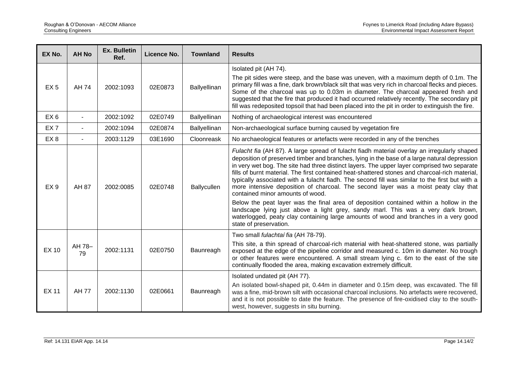| EX No.          | <b>AH No</b> | <b>Ex. Bulletin</b><br>Ref. | Licence No. | <b>Townland</b> | <b>Results</b>                                                                                                                                                                                                                                                                                                                                                                                                                                                                                                                                                                                                                                                                                                                                                                                                                                                                                                            |
|-----------------|--------------|-----------------------------|-------------|-----------------|---------------------------------------------------------------------------------------------------------------------------------------------------------------------------------------------------------------------------------------------------------------------------------------------------------------------------------------------------------------------------------------------------------------------------------------------------------------------------------------------------------------------------------------------------------------------------------------------------------------------------------------------------------------------------------------------------------------------------------------------------------------------------------------------------------------------------------------------------------------------------------------------------------------------------|
| EX <sub>5</sub> | AH 74        | 2002:1093                   | 02E0873     | Ballyellinan    | Isolated pit (AH 74).<br>The pit sides were steep, and the base was uneven, with a maximum depth of 0.1m. The<br>primary fill was a fine, dark brown/black silt that was very rich in charcoal flecks and pieces.<br>Some of the charcoal was up to 0.03m in diameter. The charcoal appeared fresh and<br>suggested that the fire that produced it had occurred relatively recently. The secondary pit<br>fill was redeposited topsoil that had been placed into the pit in order to extinguish the fire.                                                                                                                                                                                                                                                                                                                                                                                                                 |
| EX <sub>6</sub> |              | 2002:1092                   | 02E0749     | Ballyellinan    | Nothing of archaeological interest was encountered                                                                                                                                                                                                                                                                                                                                                                                                                                                                                                                                                                                                                                                                                                                                                                                                                                                                        |
| EX <sub>7</sub> |              | 2002:1094                   | 02E0874     | Ballyellinan    | Non-archaeological surface burning caused by vegetation fire                                                                                                                                                                                                                                                                                                                                                                                                                                                                                                                                                                                                                                                                                                                                                                                                                                                              |
| EX <sub>8</sub> |              | 2003:1129                   | 03E1690     | Cloonreask      | No archaeological features or artefacts were recorded in any of the trenches                                                                                                                                                                                                                                                                                                                                                                                                                                                                                                                                                                                                                                                                                                                                                                                                                                              |
| EX <sub>9</sub> | AH 87        | 2002:0085                   | 02E0748     | Ballycullen     | Fulacht fia (AH 87). A large spread of fulacht fiadh material overlay an irregularly shaped<br>deposition of preserved timber and branches, lying in the base of a large natural depression<br>in very wet bog. The site had three distinct layers. The upper layer comprised two separate<br>fills of burnt material. The first contained heat-shattered stones and charcoal-rich material,<br>typically associated with a fulacht fiadh. The second fill was similar to the first but with a<br>more intensive deposition of charcoal. The second layer was a moist peaty clay that<br>contained minor amounts of wood.<br>Below the peat layer was the final area of deposition contained within a hollow in the<br>landscape lying just above a light grey, sandy marl. This was a very dark brown,<br>waterlogged, peaty clay containing large amounts of wood and branches in a very good<br>state of preservation. |
| <b>EX 10</b>    | AH 78-<br>79 | 2002:1131                   | 02E0750     | Baunreagh       | Two small fulachtaí fia (AH 78-79).<br>This site, a thin spread of charcoal-rich material with heat-shattered stone, was partially<br>exposed at the edge of the pipeline corridor and measured c. 10m in diameter. No trough<br>or other features were encountered. A small stream lying c. 6m to the east of the site<br>continually flooded the area, making excavation extremely difficult.                                                                                                                                                                                                                                                                                                                                                                                                                                                                                                                           |
| <b>EX 11</b>    | <b>AH 77</b> | 2002:1130                   | 02E0661     | Baunreagh       | Isolated undated pit (AH 77).<br>An isolated bowl-shaped pit, 0.44m in diameter and 0.15m deep, was excavated. The fill<br>was a fine, mid-brown silt with occasional charcoal inclusions. No artefacts were recovered,<br>and it is not possible to date the feature. The presence of fire-oxidised clay to the south-<br>west, however, suggests in situ burning.                                                                                                                                                                                                                                                                                                                                                                                                                                                                                                                                                       |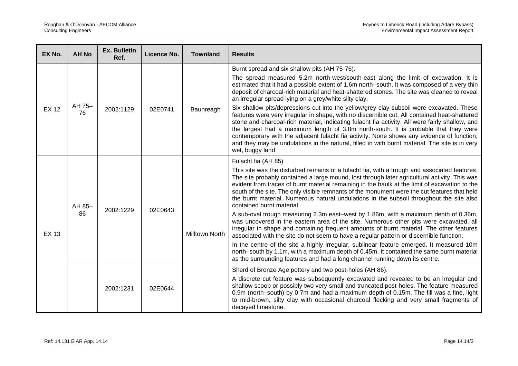| EX No.       | <b>AH No</b> | <b>Ex. Bulletin</b><br>Ref. | Licence No. | <b>Townland</b>                                                                                                                                                                                                                                                                                                                                                                             | <b>Results</b>                                                                                                                                                                                                                                                                                                                                                                                                                                                                                                                                                                                                                                                                                                                                                                    |
|--------------|--------------|-----------------------------|-------------|---------------------------------------------------------------------------------------------------------------------------------------------------------------------------------------------------------------------------------------------------------------------------------------------------------------------------------------------------------------------------------------------|-----------------------------------------------------------------------------------------------------------------------------------------------------------------------------------------------------------------------------------------------------------------------------------------------------------------------------------------------------------------------------------------------------------------------------------------------------------------------------------------------------------------------------------------------------------------------------------------------------------------------------------------------------------------------------------------------------------------------------------------------------------------------------------|
| <b>EX 12</b> | AH 75-<br>76 | 2002:1129                   | 02E0741     | Baunreagh                                                                                                                                                                                                                                                                                                                                                                                   | Burnt spread and six shallow pits (AH 75-76).<br>The spread measured 5.2m north-west/south-east along the limit of excavation. It is<br>estimated that it had a possible extent of 1.6m north-south. It was composed of a very thin<br>deposit of charcoal-rich material and heat-shattered stones. The site was cleaned to reveal<br>an irregular spread lying on a grey/white silty clay.<br>Six shallow pits/depressions cut into the yellow/grey clay subsoil were excavated. These<br>features were very irregular in shape, with no discernible cut. All contained heat-shattered<br>stone and charcoal-rich material, indicating fulacht fia activity. All were fairly shallow, and<br>the largest had a maximum length of 3.8m north-south. It is probable that they were |
|              |              |                             |             |                                                                                                                                                                                                                                                                                                                                                                                             | contemporary with the adjacent fulacht fia activity. None shows any evidence of function,<br>and they may be undulations in the natural, filled in with burnt material. The site is in very<br>wet, boggy land                                                                                                                                                                                                                                                                                                                                                                                                                                                                                                                                                                    |
| <b>EX 13</b> | AH 85-<br>86 | 2002:1229                   | 02E0643     | Milltown North                                                                                                                                                                                                                                                                                                                                                                              | Fulacht fia (AH 85)                                                                                                                                                                                                                                                                                                                                                                                                                                                                                                                                                                                                                                                                                                                                                               |
|              |              |                             |             |                                                                                                                                                                                                                                                                                                                                                                                             | This site was the disturbed remains of a fulacht fia, with a trough and associated features.<br>The site probably contained a large mound, lost through later agricultural activity. This was<br>evident from traces of burnt material remaining in the baulk at the limit of excavation to the<br>south of the site. The only visible remnants of the monument were the cut features that held<br>the burnt material. Numerous natural undulations in the subsoil throughout the site also<br>contained burnt material.                                                                                                                                                                                                                                                          |
|              |              |                             |             |                                                                                                                                                                                                                                                                                                                                                                                             | A sub-oval trough measuring 2.3m east-west by 1.86m, with a maximum depth of 0.36m,<br>was uncovered in the eastern area of the site. Numerous other pits were excavated, all<br>irregular in shape and containing frequent amounts of burnt material. The other features<br>associated with the site do not seem to have a regular pattern or discernible function.                                                                                                                                                                                                                                                                                                                                                                                                              |
|              |              |                             |             |                                                                                                                                                                                                                                                                                                                                                                                             | In the centre of the site a highly irregular, sublinear feature emerged. It measured 10m<br>north-south by 1.1m, with a maximum depth of 0.45m. It contained the same burnt material<br>as the surrounding features and had a long channel running down its centre.                                                                                                                                                                                                                                                                                                                                                                                                                                                                                                               |
|              |              |                             |             |                                                                                                                                                                                                                                                                                                                                                                                             | Sherd of Bronze Age pottery and two post-holes (AH 86).                                                                                                                                                                                                                                                                                                                                                                                                                                                                                                                                                                                                                                                                                                                           |
|              |              | 2002:1231<br>02E0644        |             | A discrete cut feature was subsequently excavated and revealed to be an irregular and<br>shallow scoop or possibly two very small and truncated post-holes. The feature measured<br>0.9m (north–south) by 0.7m and had a maximum depth of 0.15m. The fill was a fine, light<br>to mid-brown, silty clay with occasional charcoal flecking and very small fragments of<br>decayed limestone. |                                                                                                                                                                                                                                                                                                                                                                                                                                                                                                                                                                                                                                                                                                                                                                                   |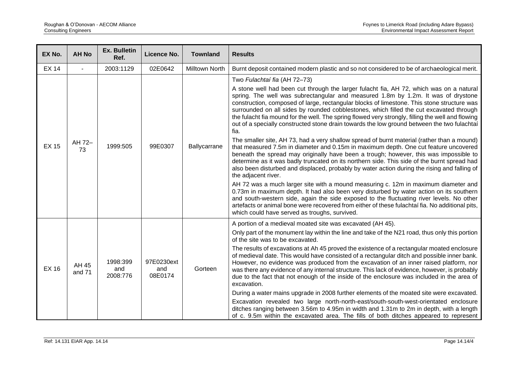| EX No.       | <b>AH No</b>    | <b>Ex. Bulletin</b><br>Ref. | Licence No.                  | <b>Townland</b> | <b>Results</b>                                                                                                                                                                                                                                                                                                                                                                                                                                                                                                                                                                                                                                                                                                                                                                                                                                                                                                                                                                                                                                                                                                         |
|--------------|-----------------|-----------------------------|------------------------------|-----------------|------------------------------------------------------------------------------------------------------------------------------------------------------------------------------------------------------------------------------------------------------------------------------------------------------------------------------------------------------------------------------------------------------------------------------------------------------------------------------------------------------------------------------------------------------------------------------------------------------------------------------------------------------------------------------------------------------------------------------------------------------------------------------------------------------------------------------------------------------------------------------------------------------------------------------------------------------------------------------------------------------------------------------------------------------------------------------------------------------------------------|
| <b>EX 14</b> |                 | 2003:1129                   | 02E0642                      | Milltown North  | Burnt deposit contained modern plastic and so not considered to be of archaeological merit.                                                                                                                                                                                                                                                                                                                                                                                                                                                                                                                                                                                                                                                                                                                                                                                                                                                                                                                                                                                                                            |
| <b>EX 15</b> | AH 72-<br>73    | 1999:505                    | 99E0307                      | Ballycarrane    | Two Fulachtaí fia (AH 72-73)<br>A stone well had been cut through the larger fulacht fia, AH 72, which was on a natural<br>spring. The well was subrectangular and measured 1.8m by 1.2m. It was of drystone<br>construction, composed of large, rectangular blocks of limestone. This stone structure was<br>surrounded on all sides by rounded cobblestones, which filled the cut excavated through<br>the fulacht fia mound for the well. The spring flowed very strongly, filling the well and flowing<br>out of a specially constructed stone drain towards the low ground between the two fulachtaí<br>fia.<br>The smaller site, AH 73, had a very shallow spread of burnt material (rather than a mound)<br>that measured 7.5m in diameter and 0.15m in maximum depth. One cut feature uncovered<br>beneath the spread may originally have been a trough; however, this was impossible to<br>determine as it was badly truncated on its northern side. This side of the burnt spread had<br>also been disturbed and displaced, probably by water action during the rising and falling of<br>the adjacent river. |
|              |                 |                             |                              |                 | AH 72 was a much larger site with a mound measuring c. 12m in maximum diameter and<br>0.73m in maximum depth. It had also been very disturbed by water action on its southern<br>and south-western side, again the side exposed to the fluctuating river levels. No other<br>artefacts or animal bone were recovered from either of these fulachtaí fia. No additional pits,<br>which could have served as troughs, survived.                                                                                                                                                                                                                                                                                                                                                                                                                                                                                                                                                                                                                                                                                          |
|              |                 |                             |                              |                 | A portion of a medieval moated site was excavated (AH 45).                                                                                                                                                                                                                                                                                                                                                                                                                                                                                                                                                                                                                                                                                                                                                                                                                                                                                                                                                                                                                                                             |
|              | AH 45<br>and 71 | 1998:399<br>and<br>2008:776 | 97E0230ext<br>and<br>08E0174 | Gorteen         | Only part of the monument lay within the line and take of the N21 road, thus only this portion<br>of the site was to be excavated.                                                                                                                                                                                                                                                                                                                                                                                                                                                                                                                                                                                                                                                                                                                                                                                                                                                                                                                                                                                     |
| <b>EX 16</b> |                 |                             |                              |                 | The results of excavations at Ah 45 proved the existence of a rectangular moated enclosure<br>of medieval date. This would have consisted of a rectangular ditch and possible inner bank.<br>However, no evidence was produced from the excavation of an inner raised platform, nor<br>was there any evidence of any internal structure. This lack of evidence, however, is probably<br>due to the fact that not enough of the inside of the enclosure was included in the area of<br>excavation.                                                                                                                                                                                                                                                                                                                                                                                                                                                                                                                                                                                                                      |
|              |                 |                             |                              |                 | During a water mains upgrade in 2008 further elements of the moated site were excavated.                                                                                                                                                                                                                                                                                                                                                                                                                                                                                                                                                                                                                                                                                                                                                                                                                                                                                                                                                                                                                               |
|              |                 |                             |                              |                 | Excavation revealed two large north-north-east/south-south-west-orientated enclosure<br>ditches ranging between 3.56m to 4.95m in width and 1.31m to 2m in depth, with a length<br>of c. 9.5m within the excavated area. The fills of both ditches appeared to represent                                                                                                                                                                                                                                                                                                                                                                                                                                                                                                                                                                                                                                                                                                                                                                                                                                               |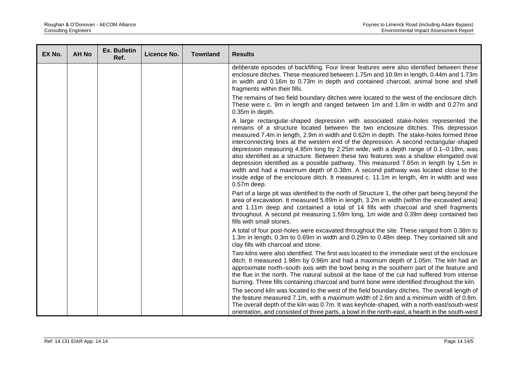| EX No. | <b>AH No</b> | <b>Ex. Bulletin</b><br>Ref. | Licence No. | <b>Townland</b> | <b>Results</b>                                                                                                                                                                                                                                                                                                                                                                                                                                                                                                                                                                                                                                                                                                                                                                                                                           |
|--------|--------------|-----------------------------|-------------|-----------------|------------------------------------------------------------------------------------------------------------------------------------------------------------------------------------------------------------------------------------------------------------------------------------------------------------------------------------------------------------------------------------------------------------------------------------------------------------------------------------------------------------------------------------------------------------------------------------------------------------------------------------------------------------------------------------------------------------------------------------------------------------------------------------------------------------------------------------------|
|        |              |                             |             |                 | deliberate episodes of backfilling. Four linear features were also identified between these<br>enclosure ditches. These measured between 1.75m and 10.9m in length, 0.44m and 1.73m<br>in width and 0.16m to 0.73m in depth and contained charcoal, animal bone and shell<br>fragments within their fills.                                                                                                                                                                                                                                                                                                                                                                                                                                                                                                                               |
|        |              |                             |             |                 | The remains of two field boundary ditches were located to the west of the enclosure ditch.<br>These were c. 9m in length and ranged between 1m and 1.8m in width and 0.27m and<br>0.35m in depth.                                                                                                                                                                                                                                                                                                                                                                                                                                                                                                                                                                                                                                        |
|        |              |                             |             |                 | A large rectangular-shaped depression with associated stake-holes represented the<br>remains of a structure located between the two enclosure ditches. This depression<br>measured 7.4m in length, 2.9m in width and 0.62m in depth. The stake-holes formed three<br>interconnecting lines at the western end of the depression. A second rectangular-shaped<br>depression measuring 4.85m long by 2.25m wide, with a depth range of 0.1–0.18m, was<br>also identified as a structure. Between these two features was a shallow elongated oval<br>depression identified as a possible pathway. This measured 7.65m in length by 1.5m in<br>width and had a maximum depth of 0.38m. A second pathway was located close to the<br>inside edge of the enclosure ditch. It measured c. 11.1m in length, 4m in width and was<br>$0.57m$ deep. |
|        |              |                             |             |                 | Part of a large pit was identified to the north of Structure 1, the other part being beyond the<br>area of excavation. It measured 5.89m in length, 3.2m in width (within the excavated area)<br>and 1.11m deep and contained a total of 14 fills with charcoal and shell fragments<br>throughout. A second pit measuring 1.59m long, 1m wide and 0.39m deep contained two<br>fills with small stones.                                                                                                                                                                                                                                                                                                                                                                                                                                   |
|        |              |                             |             |                 | A total of four post-holes were excavated throughout the site. These ranged from 0.38m to<br>1.3m in length, 0.3m to 0.69m in width and 0.29m to 0.48m deep. They contained silt and<br>clay fills with charcoal and stone.                                                                                                                                                                                                                                                                                                                                                                                                                                                                                                                                                                                                              |
|        |              |                             |             |                 | Two kilns were also identified. The first was located to the immediate west of the enclosure<br>ditch. It measured 1.98m by 0.96m and had a maximum depth of 1.05m. The kiln had an<br>approximate north-south axis with the bowl being in the southern part of the feature and<br>the flue in the north. The natural subsoil at the base of the cut had suffered from intense<br>burning. Three fills containing charcoal and burnt bone were identified throughout the kiln.                                                                                                                                                                                                                                                                                                                                                           |
|        |              |                             |             |                 | The second kiln was located to the west of the field boundary ditches. The overall length of<br>the feature measured 7.1m, with a maximum width of 2.6m and a minimum width of 0.8m.<br>The overall depth of the kiln was 0.7m. It was keyhole-shaped, with a north-east/south-west<br>orientation, and consisted of three parts, a bowl in the north-east, a hearth in the south-west                                                                                                                                                                                                                                                                                                                                                                                                                                                   |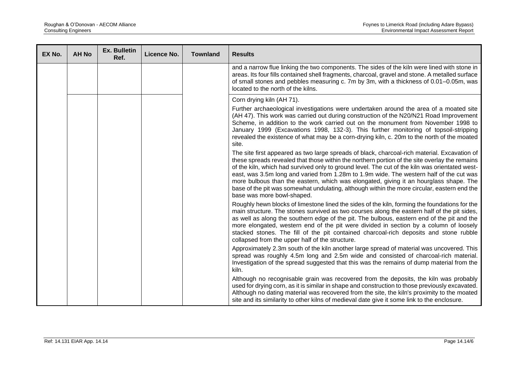| EX No. | <b>AH No</b> | <b>Ex. Bulletin</b><br>Ref. | Licence No. | <b>Townland</b> | <b>Results</b>                                                                                                                                                                                                                                                                                                                                                                                                                                                                                                                                                                                                   |
|--------|--------------|-----------------------------|-------------|-----------------|------------------------------------------------------------------------------------------------------------------------------------------------------------------------------------------------------------------------------------------------------------------------------------------------------------------------------------------------------------------------------------------------------------------------------------------------------------------------------------------------------------------------------------------------------------------------------------------------------------------|
|        |              |                             |             |                 | and a narrow flue linking the two components. The sides of the kiln were lined with stone in<br>areas. Its four fills contained shell fragments, charcoal, gravel and stone. A metalled surface<br>of small stones and pebbles measuring c. 7m by 3m, with a thickness of 0.01–0.05m, was<br>located to the north of the kilns.                                                                                                                                                                                                                                                                                  |
|        |              |                             |             |                 | Corn drying kiln (AH 71).<br>Further archaeological investigations were undertaken around the area of a moated site<br>(AH 47). This work was carried out during construction of the N20/N21 Road Improvement<br>Scheme, in addition to the work carried out on the monument from November 1998 to<br>January 1999 (Excavations 1998, 132-3). This further monitoring of topsoil-stripping<br>revealed the existence of what may be a corn-drying kiln, c. 20m to the north of the moated<br>site.                                                                                                               |
|        |              |                             |             |                 | The site first appeared as two large spreads of black, charcoal-rich material. Excavation of<br>these spreads revealed that those within the northern portion of the site overlay the remains<br>of the kiln, which had survived only to ground level. The cut of the kiln was orientated west-<br>east, was 3.5m long and varied from 1.28m to 1.9m wide. The western half of the cut was<br>more bulbous than the eastern, which was elongated, giving it an hourglass shape. The<br>base of the pit was somewhat undulating, although within the more circular, eastern end the<br>base was more bowl-shaped. |
|        |              |                             |             |                 | Roughly hewn blocks of limestone lined the sides of the kiln, forming the foundations for the<br>main structure. The stones survived as two courses along the eastern half of the pit sides,<br>as well as along the southern edge of the pit. The bulbous, eastern end of the pit and the<br>more elongated, western end of the pit were divided in section by a column of loosely<br>stacked stones. The fill of the pit contained charcoal-rich deposits and stone rubble<br>collapsed from the upper half of the structure.                                                                                  |
|        |              |                             |             |                 | Approximately 2.3m south of the kiln another large spread of material was uncovered. This<br>spread was roughly 4.5m long and 2.5m wide and consisted of charcoal-rich material.<br>Investigation of the spread suggested that this was the remains of dump material from the<br>kiln.                                                                                                                                                                                                                                                                                                                           |
|        |              |                             |             |                 | Although no recognisable grain was recovered from the deposits, the kiln was probably<br>used for drying corn, as it is similar in shape and construction to those previously excavated.<br>Although no dating material was recovered from the site, the kiln's proximity to the moated<br>site and its similarity to other kilns of medieval date give it some link to the enclosure.                                                                                                                                                                                                                           |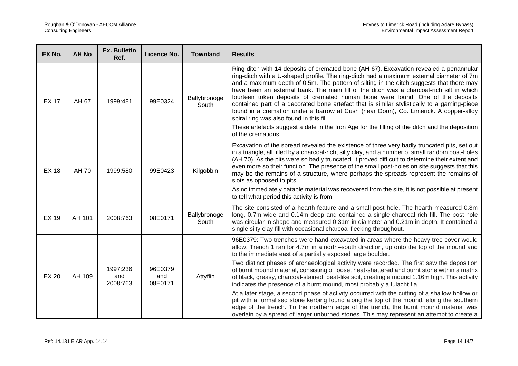| EX No.       | <b>AH No</b> | Ex. Bulletin<br>Ref.        | Licence No.               | <b>Townland</b>       | <b>Results</b>                                                                                                                                                                                                                                                                                                                                                                                                                                                                                                                                                                                                                                                                                   |
|--------------|--------------|-----------------------------|---------------------------|-----------------------|--------------------------------------------------------------------------------------------------------------------------------------------------------------------------------------------------------------------------------------------------------------------------------------------------------------------------------------------------------------------------------------------------------------------------------------------------------------------------------------------------------------------------------------------------------------------------------------------------------------------------------------------------------------------------------------------------|
| <b>EX 17</b> | AH 67        | 1999:481                    | 99E0324                   | Ballybronoge<br>South | Ring ditch with 14 deposits of cremated bone (AH 67). Excavation revealed a penannular<br>ring-ditch with a U-shaped profile. The ring-ditch had a maximum external diameter of 7m<br>and a maximum depth of 0.5m. The pattern of silting in the ditch suggests that there may<br>have been an external bank. The main fill of the ditch was a charcoal-rich silt in which<br>fourteen token deposits of cremated human bone were found. One of the deposits<br>contained part of a decorated bone artefact that is similar stylistically to a gaming-piece<br>found in a cremation under a barrow at Cush (near Doon), Co. Limerick. A copper-alloy<br>spiral ring was also found in this fill. |
|              |              |                             |                           |                       | These artefacts suggest a date in the Iron Age for the filling of the ditch and the deposition<br>of the cremations                                                                                                                                                                                                                                                                                                                                                                                                                                                                                                                                                                              |
| <b>EX 18</b> | AH 70        | 1999:580                    | 99E0423                   | Kilgobbin             | Excavation of the spread revealed the existence of three very badly truncated pits, set out<br>in a triangle, all filled by a charcoal-rich, silty clay, and a number of small random post-holes<br>(AH 70). As the pits were so badly truncated, it proved difficult to determine their extent and<br>even more so their function. The presence of the small post-holes on site suggests that this<br>may be the remains of a structure, where perhaps the spreads represent the remains of<br>slots as opposed to pits.                                                                                                                                                                        |
|              |              |                             |                           |                       | As no immediately datable material was recovered from the site, it is not possible at present<br>to tell what period this activity is from.                                                                                                                                                                                                                                                                                                                                                                                                                                                                                                                                                      |
| <b>EX 19</b> | AH 101       | 2008:763                    | 08E0171                   | Ballybronoge<br>South | The site consisted of a hearth feature and a small post-hole. The hearth measured 0.8m<br>long, 0.7m wide and 0.14m deep and contained a single charcoal-rich fill. The post-hole<br>was circular in shape and measured 0.31m in diameter and 0.21m in depth. It contained a<br>single silty clay fill with occasional charcoal flecking throughout.                                                                                                                                                                                                                                                                                                                                             |
| <b>EX 20</b> | AH 109       | 1997:236<br>and<br>2008:763 | 96E0379<br>and<br>08E0171 | Attyflin              | 96E0379: Two trenches were hand-excavated in areas where the heavy tree cover would<br>allow. Trench 1 ran for 4.7m in a north-south direction, up onto the top of the mound and<br>to the immediate east of a partially exposed large boulder.                                                                                                                                                                                                                                                                                                                                                                                                                                                  |
|              |              |                             |                           |                       | Two distinct phases of archaeological activity were recorded. The first saw the deposition<br>of burnt mound material, consisting of loose, heat-shattered and burnt stone within a matrix<br>of black, greasy, charcoal-stained, peat-like soil, creating a mound 1.16m high. This activity<br>indicates the presence of a burnt mound, most probably a fulacht fia.                                                                                                                                                                                                                                                                                                                            |
|              |              |                             |                           |                       | At a later stage, a second phase of activity occurred with the cutting of a shallow hollow or<br>pit with a formalised stone kerbing found along the top of the mound, along the southern<br>edge of the trench. To the northern edge of the trench, the burnt mound material was<br>overlain by a spread of larger unburned stones. This may represent an attempt to create a                                                                                                                                                                                                                                                                                                                   |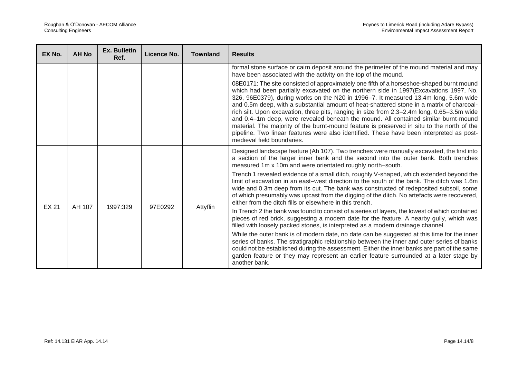| EX No.       | <b>AH No</b> | <b>Ex. Bulletin</b><br>Ref. | Licence No. | <b>Townland</b> | <b>Results</b>                                                                                                                                                                                                                                                                                                                                                                                                                                                                                                                                                                                                                                                                                                                                                                     |
|--------------|--------------|-----------------------------|-------------|-----------------|------------------------------------------------------------------------------------------------------------------------------------------------------------------------------------------------------------------------------------------------------------------------------------------------------------------------------------------------------------------------------------------------------------------------------------------------------------------------------------------------------------------------------------------------------------------------------------------------------------------------------------------------------------------------------------------------------------------------------------------------------------------------------------|
|              |              |                             |             |                 | formal stone surface or cairn deposit around the perimeter of the mound material and may<br>have been associated with the activity on the top of the mound.                                                                                                                                                                                                                                                                                                                                                                                                                                                                                                                                                                                                                        |
|              |              |                             |             |                 | 08E0171: The site consisted of approximately one fifth of a horseshoe-shaped burnt mound<br>which had been partially excavated on the northern side in 1997(Excavations 1997, No.<br>326, 96E0379), during works on the N20 in 1996-7. It measured 13.4m long, 5.6m wide<br>and 0.5m deep, with a substantial amount of heat-shattered stone in a matrix of charcoal-<br>rich silt. Upon excavation, three pits, ranging in size from 2.3-2.4m long, 0.65-3.5m wide<br>and 0.4-1m deep, were revealed beneath the mound. All contained similar burnt-mound<br>material. The majority of the burnt-mound feature is preserved in situ to the north of the<br>pipeline. Two linear features were also identified. These have been interpreted as post-<br>medieval field boundaries. |
| <b>EX 21</b> | AH 107       | 1997:329                    | 97E0292     | Attyflin        | Designed landscape feature (Ah 107). Two trenches were manually excavated, the first into<br>a section of the larger inner bank and the second into the outer bank. Both trenches<br>measured 1m x 10m and were orientated roughly north-south.<br>Trench 1 revealed evidence of a small ditch, roughly V-shaped, which extended beyond the<br>limit of excavation in an east-west direction to the south of the bank. The ditch was 1.6m<br>wide and 0.3m deep from its cut. The bank was constructed of redeposited subsoil, some<br>of which presumably was upcast from the digging of the ditch. No artefacts were recovered,<br>either from the ditch fills or elsewhere in this trench.                                                                                      |
|              |              |                             |             |                 | In Trench 2 the bank was found to consist of a series of layers, the lowest of which contained<br>pieces of red brick, suggesting a modern date for the feature. A nearby gully, which was<br>filled with loosely packed stones, is interpreted as a modern drainage channel.                                                                                                                                                                                                                                                                                                                                                                                                                                                                                                      |
|              |              |                             |             |                 | While the outer bank is of modern date, no date can be suggested at this time for the inner<br>series of banks. The stratigraphic relationship between the inner and outer series of banks<br>could not be established during the assessment. Either the inner banks are part of the same<br>garden feature or they may represent an earlier feature surrounded at a later stage by<br>another bank.                                                                                                                                                                                                                                                                                                                                                                               |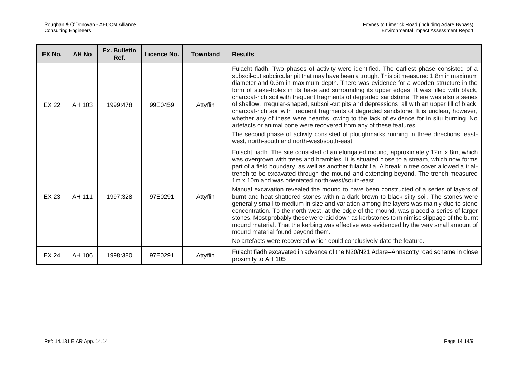| EX No.       | <b>AH No</b> | Ex. Bulletin<br>Ref. | Licence No. | <b>Townland</b> | <b>Results</b>                                                                                                                                                                                                                                                                                                                                                                                                                                                                                                                                                                                                                                                                                                                                                                                                                               |
|--------------|--------------|----------------------|-------------|-----------------|----------------------------------------------------------------------------------------------------------------------------------------------------------------------------------------------------------------------------------------------------------------------------------------------------------------------------------------------------------------------------------------------------------------------------------------------------------------------------------------------------------------------------------------------------------------------------------------------------------------------------------------------------------------------------------------------------------------------------------------------------------------------------------------------------------------------------------------------|
| <b>EX 22</b> | AH 103       | 1999:478             | 99E0459     | Attyflin        | Fulacht fiadh. Two phases of activity were identified. The earliest phase consisted of a<br>subsoil-cut subcircular pit that may have been a trough. This pit measured 1.8m in maximum<br>diameter and 0.3m in maximum depth. There was evidence for a wooden structure in the<br>form of stake-holes in its base and surrounding its upper edges. It was filled with black,<br>charcoal-rich soil with frequent fragments of degraded sandstone. There was also a series<br>of shallow, irregular-shaped, subsoil-cut pits and depressions, all with an upper fill of black,<br>charcoal-rich soil with frequent fragments of degraded sandstone. It is unclear, however,<br>whether any of these were hearths, owing to the lack of evidence for in situ burning. No<br>artefacts or animal bone were recovered from any of these features |
|              |              |                      |             |                 | The second phase of activity consisted of ploughmarks running in three directions, east-<br>west, north-south and north-west/south-east.                                                                                                                                                                                                                                                                                                                                                                                                                                                                                                                                                                                                                                                                                                     |
|              |              |                      |             |                 | Fulacht fiadh. The site consisted of an elongated mound, approximately 12m x 8m, which<br>was overgrown with trees and brambles. It is situated close to a stream, which now forms<br>part of a field boundary, as well as another fulacht fia. A break in tree cover allowed a trial-<br>trench to be excavated through the mound and extending beyond. The trench measured<br>1m x 10m and was orientated north-west/south-east.                                                                                                                                                                                                                                                                                                                                                                                                           |
| <b>EX 23</b> | AH 111       | 1997:328             | 97E0291     | Attyflin        | Manual excavation revealed the mound to have been constructed of a series of layers of<br>burnt and heat-shattered stones within a dark brown to black silty soil. The stones were<br>generally small to medium in size and variation among the layers was mainly due to stone<br>concentration. To the north-west, at the edge of the mound, was placed a series of larger<br>stones. Most probably these were laid down as kerbstones to minimise slippage of the burnt<br>mound material. That the kerbing was effective was evidenced by the very small amount of<br>mound material found beyond them.                                                                                                                                                                                                                                   |
|              |              |                      |             |                 | No artefacts were recovered which could conclusively date the feature.                                                                                                                                                                                                                                                                                                                                                                                                                                                                                                                                                                                                                                                                                                                                                                       |
| <b>EX 24</b> | AH 106       | 1998:380             | 97E0291     | Attyflin        | Fulacht fiadh excavated in advance of the N20/N21 Adare-Annacotty road scheme in close<br>proximity to AH 105                                                                                                                                                                                                                                                                                                                                                                                                                                                                                                                                                                                                                                                                                                                                |